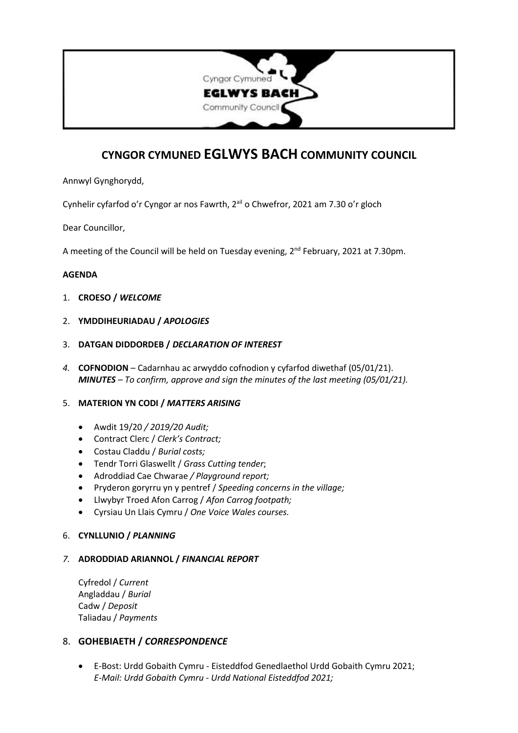

# **CYNGOR CYMUNED EGLWYS BACH COMMUNITY COUNCIL**

Annwyl Gynghorydd,

Cynhelir cyfarfod o'r Cyngor ar nos Fawrth, 2ªil o Chwefror, 2021 am 7.30 o'r gloch

Dear Councillor,

A meeting of the Council will be held on Tuesday evening, 2<sup>nd</sup> February, 2021 at 7.30pm.

## **AGENDA**

- 1. **CROESO /** *WELCOME*
- 2. **YMDDIHEURIADAU /** *APOLOGIES*
- 3. **DATGAN DIDDORDEB /** *DECLARATION OF INTEREST*
- *4.* **COFNODION** Cadarnhau ac arwyddo cofnodion y cyfarfod diwethaf (05/01/21). *MINUTES – To confirm, approve and sign the minutes of the last meeting (05/01/21).*

#### 5. **MATERION YN CODI /** *MATTERS ARISING*

- Awdit 19/20 */ 2019/20 Audit;*
- Contract Clerc / *Clerk's Contract;*
- Costau Claddu / *Burial costs;*
- Tendr Torri Glaswellt / *Grass Cutting tender*;
- Adroddiad Cae Chwarae */ Playground report;*
- Pryderon goryrru yn y pentref / *Speeding concerns in the village;*
- Llwybyr Troed Afon Carrog / *Afon Carrog footpath;*
- Cyrsiau Un Llais Cymru / *One Voice Wales courses.*

#### 6. **CYNLLUNIO /** *PLANNING*

## *7.* **ADRODDIAD ARIANNOL /** *FINANCIAL REPORT*

Cyfredol / *Current* Angladdau / *Burial* Cadw / *Deposit* Taliadau / *Payments*

## 8. **GOHEBIAETH /** *CORRESPONDENCE*

• E-Bost: Urdd Gobaith Cymru - Eisteddfod Genedlaethol Urdd Gobaith Cymru 2021; *E-Mail: Urdd Gobaith Cymru - Urdd National Eisteddfod 2021;*